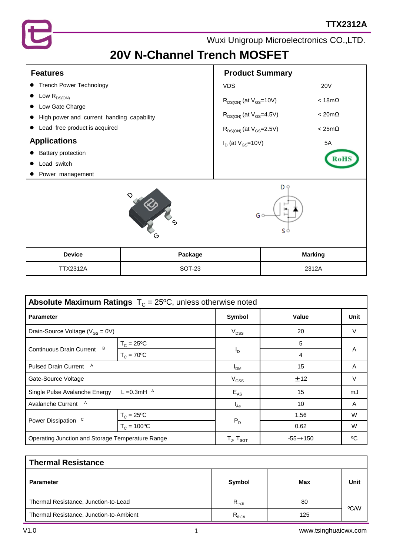

# **20V N-Channel Trench MOSFET**

| <b>Features</b>                                                                                                                                                                                                             |         | <b>Product Summary</b>                                                                                                              |                   |                                                       |  |
|-----------------------------------------------------------------------------------------------------------------------------------------------------------------------------------------------------------------------------|---------|-------------------------------------------------------------------------------------------------------------------------------------|-------------------|-------------------------------------------------------|--|
| • Trench Power Technology                                                                                                                                                                                                   |         | <b>VDS</b>                                                                                                                          |                   | <b>20V</b>                                            |  |
| Low $R_{DS(ON)}$<br>$\bullet$<br>• Low Gate Charge<br>High power and current handing capability<br>• Lead free product is acquired<br><b>Applications</b><br><b>Battery protection</b><br>Load switch<br>• Power management |         | $R_{DS(ON)}$ (at $V_{GS}$ =10V)<br>$R_{DS(ON)}$ (at $V_{GS}$ =4.5V)<br>$R_{DS(ON)}$ (at $V_{GS}$ =2.5V)<br>$I_D$ (at $V_{GS}$ =10V) |                   | $< 18m\Omega$<br>$< 20m\Omega$<br>$< 25m\Omega$<br>5A |  |
|                                                                                                                                                                                                                             | G       |                                                                                                                                     | D 9<br>G o<br>ς φ |                                                       |  |
| <b>Device</b>                                                                                                                                                                                                               | Package |                                                                                                                                     |                   | <b>Marking</b>                                        |  |

| <b>Absolute Maximum Ratings</b> $T_c = 25^{\circ}C$ , unless otherwise noted |                      |                   |              |        |  |  |  |
|------------------------------------------------------------------------------|----------------------|-------------------|--------------|--------|--|--|--|
| <b>Parameter</b>                                                             |                      | Symbol            | Value        | Unit   |  |  |  |
| Drain-Source Voltage ( $V_{GS} = 0V$ )                                       |                      | $V_{DSS}$         | 20           | V      |  |  |  |
| B<br><b>Continuous Drain Current</b>                                         | $T_c = 25$ °C        |                   | 5            | A      |  |  |  |
|                                                                              | $T_c = 70^{\circ}C$  | $I_{\mathsf{D}}$  | 4            |        |  |  |  |
| Pulsed Drain Current A                                                       |                      | I <sub>DM</sub>   | 15           | A      |  |  |  |
| Gate-Source Voltage                                                          |                      | $V_{GSS}$         | ±12          | $\vee$ |  |  |  |
| L = 0.3 mH $\AA$<br>Single Pulse Avalanche Energy                            |                      | $E_{AS}$          | 15           | mJ     |  |  |  |
| Avalanche Current<br>A                                                       |                      | $I_{\text{As}}$   | 10           | A      |  |  |  |
| Power Dissipation <sup>C</sup>                                               | $T_c = 25$ °C        |                   | 1.56         | W      |  |  |  |
|                                                                              | $T_c = 100^{\circ}C$ | $P_D$             | 0.62         | W      |  |  |  |
| Operating Junction and Storage Temperature Range                             |                      | $T_J$ , $T_{SGT}$ | $-55 - +150$ | °C     |  |  |  |

TTX2312A SOT-23 2312A

| <b>Thermal Resistance</b>               |            |     |      |  |  |
|-----------------------------------------|------------|-----|------|--|--|
| <b>Parameter</b>                        | Symbol     | Max | Unit |  |  |
| Thermal Resistance, Junction-to-Lead    | $R_{thJL}$ | 80  |      |  |  |
| Thermal Resistance, Junction-to-Ambient | $R_{thJA}$ | 125 | °C/W |  |  |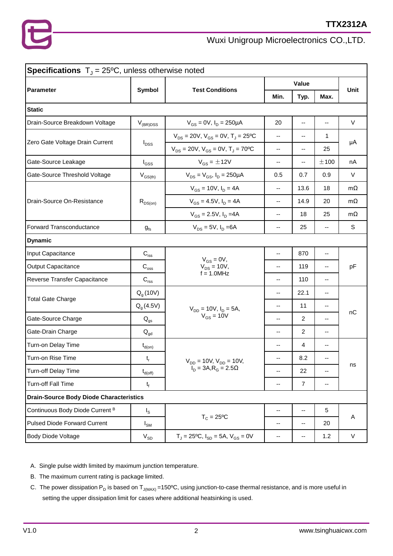| <b>Specifications</b> $T_{J} = 25^{\circ}\text{C}$ , unless otherwise noted |                                  |                                                      |                          |                |               |           |  |
|-----------------------------------------------------------------------------|----------------------------------|------------------------------------------------------|--------------------------|----------------|---------------|-----------|--|
| Parameter                                                                   | Symbol<br><b>Test Conditions</b> | Value                                                |                          | Unit           |               |           |  |
|                                                                             |                                  |                                                      | Min.                     | Typ.           | Max.          |           |  |
| <b>Static</b>                                                               |                                  |                                                      |                          |                |               |           |  |
| Drain-Source Breakdown Voltage                                              | $V_{(BR)DSS}$                    | $V_{GS} = 0V$ , $I_D = 250 \mu A$                    | 20                       | --             | --            | $\vee$    |  |
|                                                                             |                                  | $V_{DS}$ = 20V, $V_{GS}$ = 0V, T <sub>J</sub> = 25°C | --                       | --             | 1             |           |  |
| Zero Gate Voltage Drain Current                                             | $I_{DSS}$                        | $V_{DS} = 20V, V_{GS} = 0V, T_J = 70^{\circ}C$       | $\overline{\phantom{a}}$ | --             | 25            | μA        |  |
| Gate-Source Leakage                                                         | $I_{GSS}$                        | $V_{GS} = \pm 12V$                                   | $\overline{\phantom{a}}$ | --             | ±100          | nA        |  |
| Gate-Source Threshold Voltage                                               | $V_{GS(th)}$                     | $V_{DS} = V_{GS}$ , $I_D = 250 \mu A$                | 0.5                      | 0.7            | 0.9           | $\vee$    |  |
|                                                                             |                                  | $V_{GS}$ = 10V, $I_D$ = 4A                           | --                       | 13.6           | 18            | $m\Omega$ |  |
| Drain-Source On-Resistance                                                  | $R_{DS(on)}$                     | $V_{GS} = 4.5V$ , $I_D = 4A$                         | $-$                      | 14.9           | 20            | $m\Omega$ |  |
|                                                                             |                                  | $V_{GS} = 2.5V, I_D = 4A$                            | --                       | 18             | 25            | $m\Omega$ |  |
| Forward Transconductance                                                    | $g_{\rm fs}$                     | $V_{DS} = 5V$ , $I_D = 6A$                           | --                       | 25             | --            | S         |  |
| <b>Dynamic</b>                                                              |                                  |                                                      |                          |                |               |           |  |
| Input Capacitance                                                           | $C_{\text{iss}}$                 | $V_{GS} = 0V$ ,<br>$V_{DS} = 10V,$                   | --                       | 870            | --            | pF        |  |
| Output Capacitance                                                          | $C_{\rm{oss}}$                   |                                                      | $-$                      | 119            | $\frac{1}{2}$ |           |  |
| Reverse Transfer Capacitance                                                | $C_{\text{rss}}$                 | $f = 1.0$ MHz                                        | --                       | 110            | --            |           |  |
|                                                                             | $Qg$ (10V)                       |                                                      | --                       | 22.1           | --            | nC        |  |
| <b>Total Gate Charge</b>                                                    | $Q_{q}$ (4.5V)                   | $V_{DD} = 10V$ , $I_D = 5A$ ,                        | --                       | 11             | --            |           |  |
| Gate-Source Charge                                                          | $Q_{gs}$                         | $V_{GS}$ = 10V                                       | --                       | $\overline{2}$ | --            |           |  |
| Gate-Drain Charge                                                           | $Q_{gd}$                         |                                                      | --                       | $\overline{2}$ | --            |           |  |
| Turn-on Delay Time                                                          | $t_{d(on)}$                      |                                                      | --                       | 4              | --            |           |  |
| Turn-on Rise Time                                                           | $t_r$                            | $V_{DD}$ = 10V, $V_{DD}$ = 10V,                      | $\overline{\phantom{a}}$ | 8.2            | --            | ns        |  |
| Turn-off Delay Time                                                         | $t_{d(\mathsf{off})}$            | $I_D = 3A, R_G = 2.5\Omega$                          | --                       | 22             | --            |           |  |
| <b>Turn-off Fall Time</b>                                                   | $t_f$                            |                                                      | --                       | $\overline{7}$ | --            |           |  |
| <b>Drain-Source Body Diode Characteristics</b>                              |                                  |                                                      |                          |                |               |           |  |
| Continuous Body Diode Current B                                             | $I_{\rm S}$                      |                                                      | --                       | --             | 5             |           |  |
| <b>Pulsed Diode Forward Current</b>                                         | $I_{\text{SM}}$                  | $T_c = 25$ °C                                        | --                       | --             | 20            | Α         |  |
| <b>Body Diode Voltage</b>                                                   | $V_{SD}$                         | $T_J = 25$ °C, $I_{SD} = 5A$ , $V_{GS} = 0V$         | --                       | --             | 1.2           | V         |  |

A. Single pulse width limited by maximum junction temperature.

- B. The maximum current rating is package limited.
- C. The power dissipation P<sub>D</sub> is based on T<sub>J(MAX)</sub> =150°C, using junction-to-case thermal resistance, and is more useful in setting the upper dissipation limit for cases where additional heatsinking is used.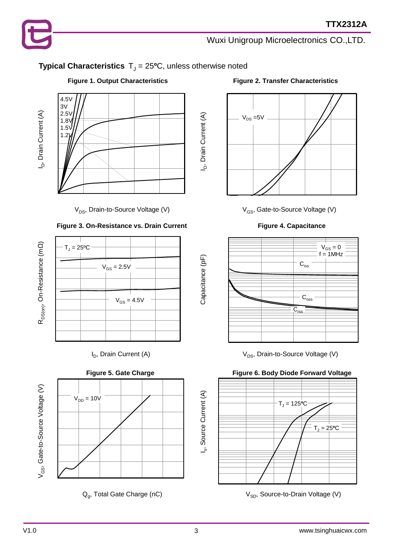## **Typical Characteristics**  $T_J = 25$ <sup>o</sup>C, unless otherwise noted

I<sub>D</sub>, Drain Current (A)

Capacitance (pF)



 $V_{DS}$ , Drain-to-Source Voltage (V)  $V_{GS}$ , Gate-to-Source Voltage (V)

### **Figure 3. On-Resistance vs. Drain Current Figure 4. Capacitance**







Q<sub>g</sub>, Total Gate Charge (nC)

### **Figure 1. Output Characteristics Figure 2. Transfer Characteristics**





 $I_D$ , Drain Current (A)  $V_{DS}$ , Drain-to-Source Voltage (V)



V<sub>SD</sub>, Source-to-Drain Voltage (V)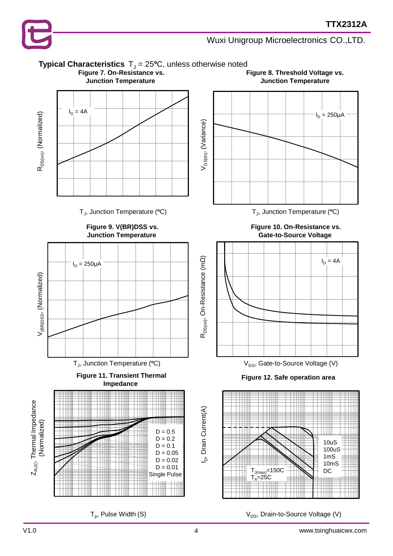

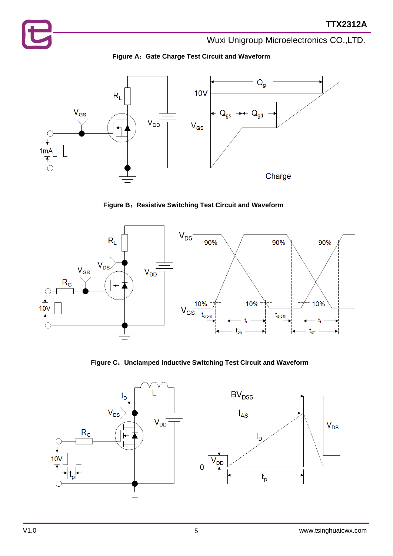



**Figure B**:**Resistive Switching Test Circuit and Waveform**



**Figure C**:**Unclamped Inductive Switching Test Circuit and Waveform**

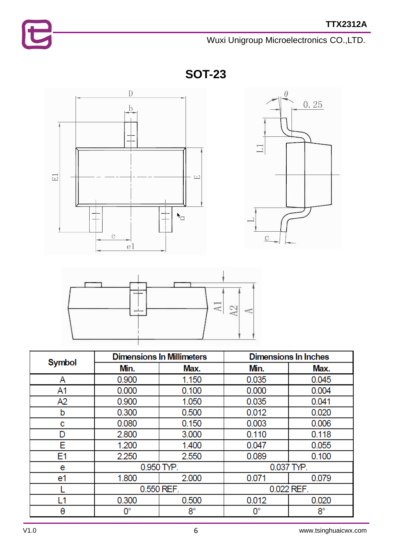

**SOT-23**







| Symbol | <b>Dimensions In Millimeters</b> |             | <b>Dimensions In Inches</b> |             |  |
|--------|----------------------------------|-------------|-----------------------------|-------------|--|
|        | Min.                             | Max.        | Min.                        | Max.        |  |
| A      | 0.900                            | 1.150       | 0.035                       | 0.045       |  |
| A1     | 0.000                            | 0.100       | 0.000                       | 0.004       |  |
| A2     | 0.900                            | 1.050       | 0.035                       | 0.041       |  |
| b      | 0.300                            | 0.500       | 0.012                       | 0.020       |  |
| с      | 0.080                            | 0.150       | 0.003                       | 0.006       |  |
| D      | 2.800                            | 3.000       | 0.110                       | 0.118       |  |
| E      | 1.200                            | 1.400       | 0.047                       | 0.055       |  |
| E1     | 2.250                            | 2.550       | 0.089                       | 0.100       |  |
| e      | 0.950 TYP.                       | 0.037 TYP.  |                             |             |  |
| e1     | 1.800                            | 2.000       | 0.071                       | 0.079       |  |
|        |                                  | 0.550 REF.  | 0.022 REF.                  |             |  |
| L1     | 0.300                            | 0.500       | 0.012                       | 0.020       |  |
| θ      | $0^{\circ}$                      | $8^{\circ}$ | 0°                          | $8^{\circ}$ |  |